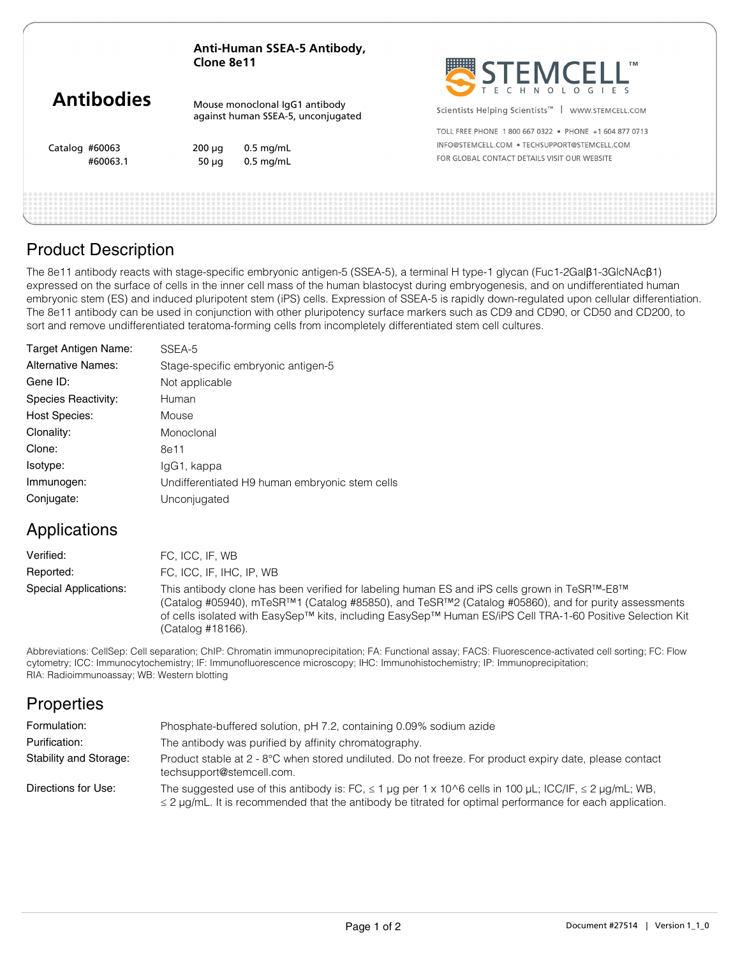| Anti-Human SSEA-5 Antibody, |  |
|-----------------------------|--|
| Clone 8e11                  |  |

|                   |                           |                                                                      | SIEMLELL                                                         |
|-------------------|---------------------------|----------------------------------------------------------------------|------------------------------------------------------------------|
| <b>Antibodies</b> |                           | Mouse monoclonal IqG1 antibody<br>against human SSEA-5, unconjugated | Scientists Helping Scientists <sup>™</sup>  <br>WWW.STEMCELL.COM |
|                   |                           |                                                                      | TOLL FREE PHONE 1800 667 0322 . PHONE +1 604 877 0713            |
| Catalog #60063    | $200 \mu q$               | $0.5$ mg/mL                                                          | INFO@STEMCELL.COM . TECHSUPPORT@STEMCELL.COM                     |
| #60063.1          | $0.5$ mg/mL<br>$50 \mu q$ | FOR GLOBAL CONTACT DETAILS VISIT OUR WEBSITE                         |                                                                  |
|                   |                           |                                                                      |                                                                  |
|                   |                           |                                                                      |                                                                  |

 $\frac{1}{2}$   $\frac{1}{2}$   $\frac{1}{2}$   $\frac{1}{2}$   $\frac{1}{2}$   $\frac{1}{2}$   $\frac{1}{2}$   $\frac{1}{2}$   $\frac{1}{2}$   $\frac{1}{2}$   $\frac{1}{2}$   $\frac{1}{2}$   $\frac{1}{2}$   $\frac{1}{2}$   $\frac{1}{2}$   $\frac{1}{2}$   $\frac{1}{2}$   $\frac{1}{2}$   $\frac{1}{2}$   $\frac{1}{2}$   $\frac{1}{2}$   $\frac{1}{2}$ 

**TM** 

### Product Description

The 8e11 antibody reacts with stage-specific embryonic antigen-5 (SSEA-5), a terminal H type-1 glycan (Fuc1-2Galβ1-3GlcNAcβ1) expressed on the surface of cells in the inner cell mass of the human blastocyst during embryogenesis, and on undifferentiated human embryonic stem (ES) and induced pluripotent stem (iPS) cells. Expression of SSEA-5 is rapidly down-regulated upon cellular differentiation. The 8e11 antibody can be used in conjunction with other pluripotency surface markers such as CD9 and CD90, or CD50 and CD200, to sort and remove undifferentiated teratoma-forming cells from incompletely differentiated stem cell cultures.

| Target Antigen Name:      | SSEA-5                                         |
|---------------------------|------------------------------------------------|
| <b>Alternative Names:</b> | Stage-specific embryonic antigen-5             |
| Gene ID:                  | Not applicable                                 |
| Species Reactivity:       | Human                                          |
| <b>Host Species:</b>      | Mouse                                          |
| Clonality:                | Monoclonal                                     |
| Clone:                    | 8e11                                           |
| Isotype:                  | lgG1, kappa                                    |
| Immunogen:                | Undifferentiated H9 human embryonic stem cells |
| Conjugate:                | Unconjugated                                   |

# Applications

| Verified:                    | FC, ICC, IF, WB                                                                                                                                                                                                                                                                                                                        |
|------------------------------|----------------------------------------------------------------------------------------------------------------------------------------------------------------------------------------------------------------------------------------------------------------------------------------------------------------------------------------|
| Reported:                    | FC. ICC. IF. IHC. IP. WB                                                                                                                                                                                                                                                                                                               |
| <b>Special Applications:</b> | This antibody clone has been verified for labeling human ES and iPS cells grown in TeSR™-E8™<br>(Catalog #05940), mTeSR™1 (Catalog #85850), and TeSR™2 (Catalog #05860), and for purity assessments<br>of cells isolated with EasySep™ kits, including EasySep™ Human ES/iPS Cell TRA-1-60 Positive Selection Kit<br>(Catalog #18166). |

Abbreviations: CellSep: Cell separation; ChIP: Chromatin immunoprecipitation; FA: Functional assay; FACS: Fluorescence-activated cell sorting; FC: Flow cytometry; ICC: Immunocytochemistry; IF: Immunofluorescence microscopy; IHC: Immunohistochemistry; IP: Immunoprecipitation; RIA: Radioimmunoassay; WB: Western blotting

# **Properties**

| Formulation:           | Phosphate-buffered solution, pH 7.2, containing 0.09% sodium azide                                                                                                                                                                |
|------------------------|-----------------------------------------------------------------------------------------------------------------------------------------------------------------------------------------------------------------------------------|
| Purification:          | The antibody was purified by affinity chromatography.                                                                                                                                                                             |
| Stability and Storage: | Product stable at 2 - 8°C when stored undiluted. Do not freeze. For product expiry date, please contact<br>techsupport@stemcell.com.                                                                                              |
| Directions for Use:    | The suggested use of this antibody is: FC, $\leq 1$ µg per 1 x 10^6 cells in 100 µL; ICC/IF, $\leq 2$ µg/mL; WB,<br>$\leq$ 2 µg/mL. It is recommended that the antibody be titrated for optimal performance for each application. |